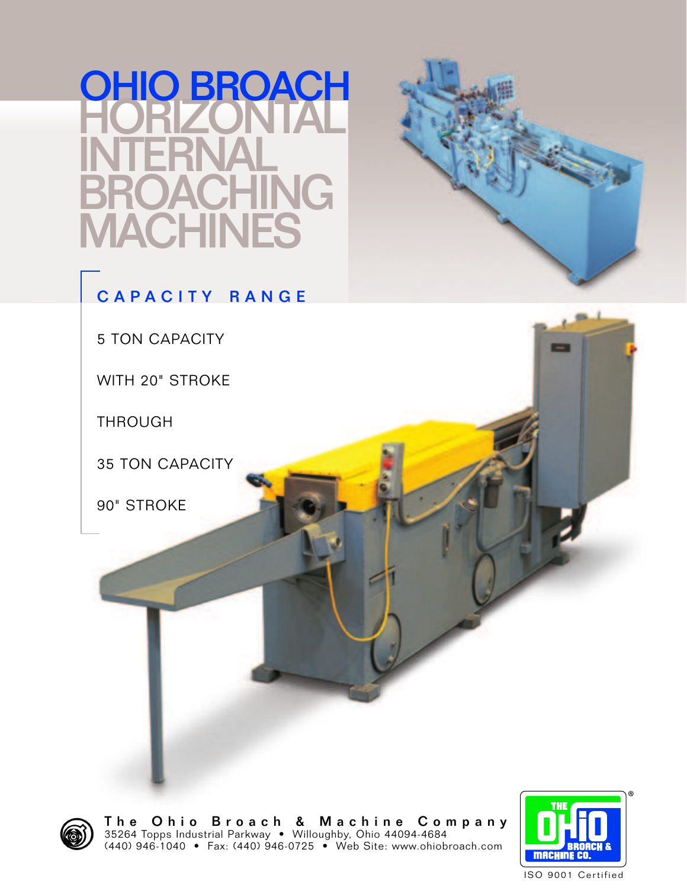# HORIZONTAL INTERNAL HING<br>NES **ACHII** OHIO BROACH

### CAPACITY RANGE

5 TON CAPACITY

WITH 20" STROKE

THROUGH

35 TON CAPACITY

90" STROKE



The Ohio Broach & Machine Company 35264 Topps Industrial Parkway • Willoughby, Ohio 44094-4684 (440) 946-1040 • Fax: (440) 946-0725 • Web Site: www.ohiobroach.com

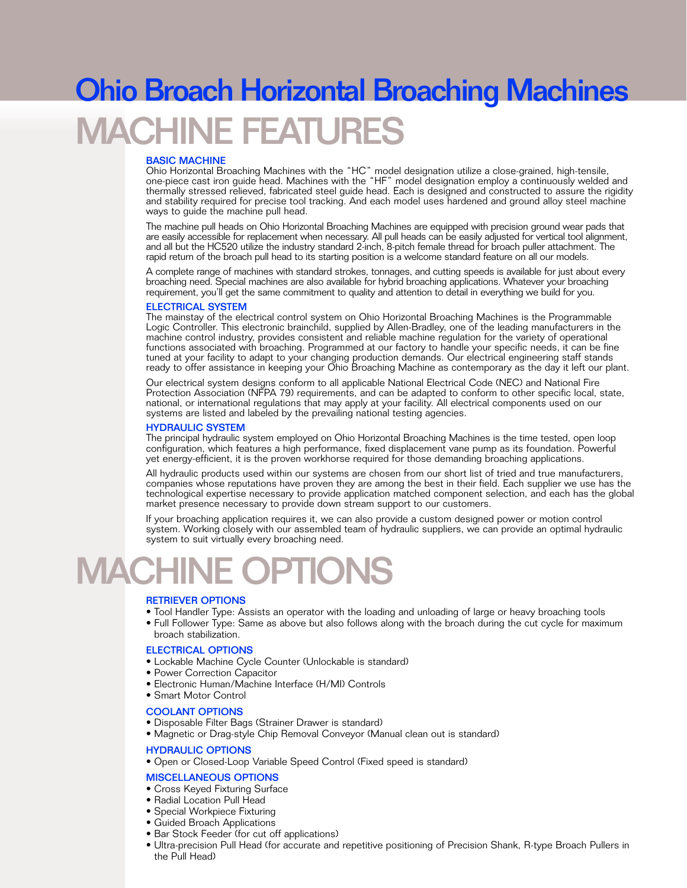# **ACHINE FEATURES** Ohio Broach Horizontal Broaching Machines

#### BASIC MACHINE

Ohio Horizontal Broaching Machines with the "HC" model designation utilize a close-grained, high-tensile, one-piece cast iron guide head. Machines with the "HF" model designation employ a continuously welded and thermally stressed relieved, fabricated steel guide head. Each is designed and constructed to assure the rigidity and stability required for precise tool tracking. And each model uses hardened and ground alloy steel machine ways to quide the machine pull head.

The machine pull heads on Ohio Horizontal Broaching Machines are equipped with precision ground wear pads that are easily accessible for replacement when necessary. All pull heads can be easily adjusted for vertical tool alignment, and all but the HC520 utilize the industry standard 2-inch, 8-pitch female thread for broach puller attachment. The rapid return of the broach pull head to its starting position is a welcome standard feature on all our models.

A complete range of machines with standard strokes, tonnages, and cutting speeds is available for just about every broaching need. Special machines are also available for hybrid broaching applications. Whatever your broaching requirement, you'll get the same commitment to quality and attention to detail in everything we build for you.

#### ELECTRICAL SYSTEM

The mainstay of the electrical control system on Ohio Horizontal Broaching Machines is the Programmable Logic Controller. This electronic brainchild, supplied by Allen-Bradley, one of the leading manufacturers in the machine control industry, provides consistent and reliable machine regulation for the variety of operational functions associated with broaching. Programmed at our factory to handle your specific needs, it can be fine tuned at your facility to adapt to your changing production demands. Our electrical engineering staff stands ready to offer assistance in keeping your Ohio Broaching Machine as contemporary as the day it left our plant.

Our electrical system designs conform to all applicable National Electrical Code (NEC) and National Fire Protection Association (NFPA 79) requirements, and can be adapted to conform to other specific local, state, national, or international regulations that may apply at your facility. All electrical components used on our systems are listed and labeled by the prevailing national testing agencies.

#### HYDRAULIC SYSTEM

The principal hydraulic system employed on Ohio Horizontal Broaching Machines is the time tested, open loop configuration, which features a high performance, fixed displacement vane pump as its foundation. Powerful yet energy-efficient, it is the proven workhorse required for those demanding broaching applications.

All hydraulic products used within our systems are chosen from our short list of tried and true manufacturers, companies whose reputations have proven they are among the best in their field. Each supplier we use has the technological expertise necessary to provide application matched component selection, and each has the global market presence necessary to provide down stream support to our customers.

If your broaching application requires it, we can also provide a custom designed power or motion control system. Working closely with our assembled team of hydraulic suppliers, we can provide an optimal hydraulic system to suit virtually every broaching need.

# **IACHIN**

#### RETRIEVER OPTIONS

- Tool Handler Type: Assists an operator with the loading and unloading of large or heavy broaching tools
- Full Follower Type: Same as above but also follows along with the broach during the cut cycle for maximum broach stabilization.

#### ELECTRICAL OPTIONS

- Lockable Machine Cycle Counter (Unlockable is standard)
- Power Correction Capacitor
- Electronic Human/Machine Interface (H/MI) Controls
- Smart Motor Control

#### COOLANT OPTIONS

- Disposable Filter Bags (Strainer Drawer is standard)
- Magnetic or Drag-style Chip Removal Conveyor (Manual clean out is standard)

#### HYDRAULIC OPTIONS

• Open or Closed-Loop Variable Speed Control (Fixed speed is standard)

#### MISCELLANEOUS OPTIONS

- Cross Keyed Fixturing Surface
- Radial Location Pull Head
- Special Workpiece Fixturing
- Guided Broach Applications
- Bar Stock Feeder (for cut off applications)
- Ultra-precision Pull Head (for accurate and repetitive positioning of Precision Shank, R-type Broach Pullers in the Pull Head)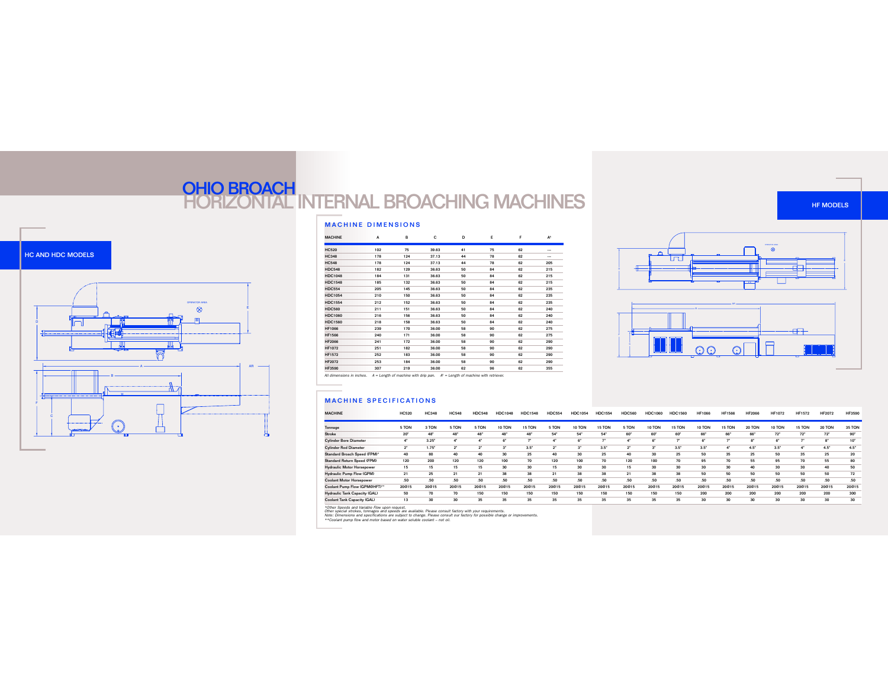### OHIO BROACH<br>HORIZONTAL INTERNAL BROACHING MACHINES

#### MACHINE DIMENSIONS

| <b>MACHINE</b> | A   | в   | c     | D  | E  | F  | A <sup>*</sup> |
|----------------|-----|-----|-------|----|----|----|----------------|
| <b>HC520</b>   | 102 | 75  | 39.63 | 41 | 75 | 62 |                |
| <b>HC348</b>   | 178 | 124 | 37.13 | 44 | 78 | 62 |                |
| <b>HC548</b>   | 178 | 124 | 37.13 | 44 | 78 | 62 | 205            |
| <b>HDC548</b>  | 182 | 129 | 36.63 | 50 | 84 | 62 | 215            |
| <b>HDC1048</b> | 184 | 131 | 36.63 | 50 | 84 | 62 | 215            |
| <b>HDC1548</b> | 185 | 132 | 36.63 | 50 | 84 | 62 | 215            |
| <b>HDC554</b>  | 205 | 145 | 36.63 | 50 | 84 | 62 | 235            |
| <b>HDC1054</b> | 210 | 150 | 36.63 | 50 | 84 | 62 | 235            |
| <b>HDC1554</b> | 212 | 152 | 36.63 | 50 | 84 | 62 | 235            |
| <b>HDC560</b>  | 211 | 151 | 36.63 | 50 | 84 | 62 | 240            |
| <b>HDC1060</b> | 216 | 156 | 36.63 | 50 | 84 | 62 | 240            |
| <b>HDC1560</b> | 218 | 158 | 36.63 | 50 | 84 | 62 | 240            |
| <b>HF1066</b>  | 239 | 170 | 36.00 | 58 | 90 | 62 | 275            |
| <b>HF1566</b>  | 240 | 171 | 36.00 | 58 | 90 | 62 | 275            |
| <b>HF2066</b>  | 241 | 172 | 36.00 | 58 | 90 | 62 | 290            |
| <b>HF1072</b>  | 251 | 182 | 36.00 | 58 | 90 | 62 | 290            |
| <b>HF1572</b>  | 252 | 183 | 36.00 | 58 | 90 | 62 | 290            |
| <b>HF2072</b>  | 253 | 184 | 36.00 | 58 | 90 | 62 | 290            |
| <b>HF3590</b>  | 307 | 219 | 36.00 | 62 | 96 | 62 | 355            |



All dimensions in inches.  $A =$  Length of machine with drip pan.  $A^* =$  Length of machine with retriever.

#### **MACHINE SPECIFICATIONS**

| <b>MACHINE</b>                       | <b>HC520</b> | <b>HC348</b>        | <b>HC548</b>   | <b>HDC548</b> | <b>HDC1048</b> | <b>HDC1548</b>  | <b>HDC554</b> | <b>HDC1054</b>   | <b>HDC1554</b> | <b>HDC560</b>   | <b>HDC1060</b>   | <b>HDC1560</b> | <b>HF1066</b> | <b>HF1566</b> | <b>HF2066</b> | <b>HF1072</b> | <b>HF1572</b> | <b>HF2072</b> | <b>HF3590</b> |
|--------------------------------------|--------------|---------------------|----------------|---------------|----------------|-----------------|---------------|------------------|----------------|-----------------|------------------|----------------|---------------|---------------|---------------|---------------|---------------|---------------|---------------|
| Tonnage                              | 5 TON        | 3 TON               | 5 TON          | 5 TON         | 10 TON         | <b>5 TON</b>    | 5 TON         | 10 TON           | <b>5 TON</b>   | 5 TON           | 10 TON           | 15 TON         | 10 TON        | 15 TON        | 20 TON        | 10 TON        | 15 TON        | 20 TON        | 35 TON        |
| Stroke                               | $20*$        | 48                  | 48*            | $48^{\circ}$  | 48*            | 48 <sup>*</sup> | 54*           | 54*              | 54*            | 60*             | 60*              | 60*            | 66"           | 66*           | 66*           | 72"           | 72"           | 72"           | 90"           |
| <b>Cylinder Bore Diameter</b>        | $4^*$        | $3.25$ <sup>*</sup> |                | $4^{\circ}$   | $6^*$          |                 | $4^{\circ}$   |                  |                |                 | $6*$             |                |               | -             | $R^*$         | 61            | m.            | $8^{\circ}$   | $10*$         |
| <b>Cylinder Rod Diameter</b>         | $2^*$        | 1.75"               | 2 <sup>1</sup> | $2^{\circ}$   | $3^{\circ}$    | 3.5"            | $2^{\circ}$   | e.               | 3.5"           | $\mathcal{P}^*$ | $3^*$            | 3.5"           | 3.5"          | $4^{\circ}$   | 4.5"          | 3.5"          |               | 4.5"          | 4.5"          |
| Standard Broach Speed (FPM)*         | 40           | 80                  | 40             | 40            | 30             | 25              | 40            | 30               | 25             | 40              | 30               | 25             | 50            | 35            | 25            | 50            | 35            | 25            | 20            |
| Standard Return Speed (FPM)          | 120          | 200                 | 120            | 120           | 100            | 70              | 120           | 100              | 70             | 120             | 100              | 70             | 95            | 70            | 55            | 95            | 70            | 55            | 80            |
| <b>Hydraulic Motor Horsepower</b>    | 15           | 15                  | 15             | 15            | 30             | 30              | 15            | 30               | 30             | 15              | 30               | 30             | 30            | 30            | 40            | 30            | 30            | 40            | 50            |
| <b>Hydraulic Pump Flow (GPM)</b>     | 21           | 25                  | 21             | 21            | 38             | 38              | 21            | 38               | 38             | 21              | 38               | 38             | 50            | 50            | 50            | 50            | 50            | 50            | 72            |
| <b>Coolant Motor Horsepower</b>      | .50          | .50                 | .50            | .50           | .50            | .50             | .50           | .50 <sub>0</sub> | .50            | .50             | .50 <sub>1</sub> | .50            | .50           | .50           | .50           | .50           | .50           | .50           | .50           |
| Coolant Pump Flow (GPM@HFT)**        | 20@15        | 20@15               | 20@15          | 20@15         | 20@15          | 20@15           | 20@15         | 20@15            | 20@15          | 20@15           | 20@15            | 20@15          | 20@15         | 20@15         | 20@15         | 20@15         | 20@15         | 20@15         | 20@15         |
| <b>Hydraulic Tank Capacity (GAL)</b> | 50           | 70                  | 70             | 150           | 150            | 150             | 150           | 150              | 150            | 150             | 150              | 150            | 200           | 200           | 200           | 200           | 200           | 200           | 300           |
| Coolant Tank Capacity (GAL)          | 13           | 30                  | 30             | 35            | 35             | 35              | 35            | 35               | 35             | 35              | 35               | 35             |               | 30            | 30            | 30            | 30            | 30            | 30            |

\*Other Speeds and Variable Row upon request.<br>Other special strokes, tonnages and speeds are available. Please consult factory with your requirements.<br>Note: Dimensions and specifications are subject to change. Please consul